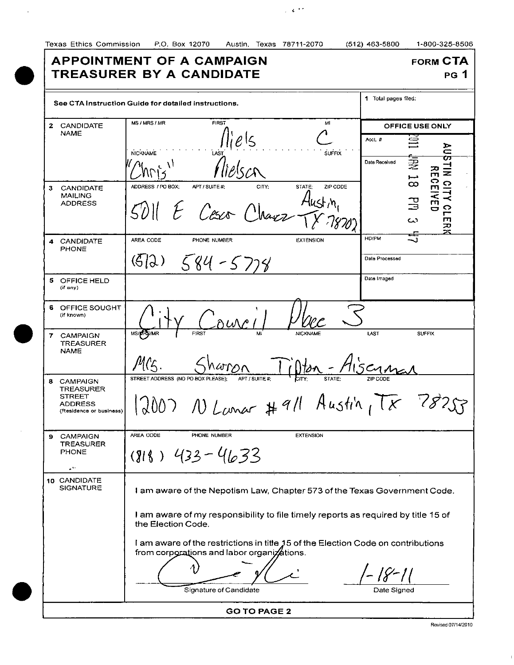## APPOINTMENT OF A CAMPAIGN FORM CTA TREASURER BY A CANDIDATE FREASURER BY A CANDIDATE

 $\ddot{\phantom{a}}$ 

| See CTA Instruction Guide for detailed instructions.                                                                           | 1 Total pages filed:                                                      |  |
|--------------------------------------------------------------------------------------------------------------------------------|---------------------------------------------------------------------------|--|
| <b>FIRST</b><br>MS / MRS / MR<br>CANDIDATE<br>2                                                                                | M<br><b>OFFICE USE ONLY</b>                                               |  |
| <b>NAME</b>                                                                                                                    | $\ell$ $\varsigma$<br>Acct. #                                             |  |
| <b>NICKNAME</b><br>LAS <sup>-</sup>                                                                                            | Ĕ<br><b>SUFFIX</b><br>m                                                   |  |
|                                                                                                                                | 芝<br>Date Received<br>$\equiv$<br>$\frac{1}{2}$<br>Ģ                      |  |
| ADDRESS / PO BOX:<br>APT / SUITE#;<br>CANDIDATE<br>3<br><b>MAILING</b>                                                         | <b>CIT</b><br>ထ<br>CITY:<br>STATE;<br>ZIP CODE<br>т<br>≺                  |  |
| <b>ADDRESS</b>                                                                                                                 | $\frac{1}{10}$<br>3<br>E Cesco Chavez<br>$\mathbf{r}$                     |  |
|                                                                                                                                | دے<br>т<br>ᠽ                                                              |  |
| AREA CODE<br>PHONE NUMBER<br>CANDIDATE<br>4                                                                                    | <b>HD/PM</b><br><b>EXTENSION</b>                                          |  |
| <b>PHONE</b><br>$584 - 5778$<br>(613)                                                                                          | Date Processed                                                            |  |
| 5<br>OFFICE HELD                                                                                                               | Date Imaged                                                               |  |
| (if any)                                                                                                                       |                                                                           |  |
| 6<br>OFFICE SOUGHT<br>(if known)                                                                                               | UNP                                                                       |  |
| MS/MRS/MR<br>FIRST<br>7 CAMPAIGN<br><b>TREASURER</b>                                                                           | <b>NICKNAME</b><br>LAST<br><b>SUFFIX</b>                                  |  |
| <b>NAME</b>                                                                                                                    |                                                                           |  |
|                                                                                                                                |                                                                           |  |
| STREET ADDRESS (NO PO BOX PLEASE);<br>8 CAMPAIGN<br><b>TREASURER</b>                                                           | APT / SUITE #:<br>STATE:                                                  |  |
| <b>STREET</b><br><b>ADDRESS</b><br>(Residence or business)                                                                     | $2007$ N Lanar #911 Austin, $\overline{1x}$                               |  |
|                                                                                                                                |                                                                           |  |
| AREA CODE<br><b>CAMPAIGN</b><br>9.<br>TREASURER                                                                                | PHONE NUMBER<br><b>EXTENSION</b>                                          |  |
| <b>PHONE</b><br>$\Omega$                                                                                                       | $433 - 41633$                                                             |  |
| $\mathbb{R}^{4\times 1}$                                                                                                       |                                                                           |  |
| 10 CANDIDATE<br><b>SIGNATURE</b>                                                                                               | I am aware of the Nepotism Law, Chapter 573 of the Texas Government Code. |  |
| I am aware of my responsibility to file timely reports as required by title 15 of<br>the Election Code.                        |                                                                           |  |
| I am aware of the restrictions in title 15 of the Election Code on contributions<br>from corporations and labor organizations. |                                                                           |  |
| Signature of Candidate<br>Date Signed                                                                                          |                                                                           |  |
|                                                                                                                                |                                                                           |  |
| <b>GO TO PAGE 2</b>                                                                                                            |                                                                           |  |

 $\bar{1}$ 

 $\sim$  4.5%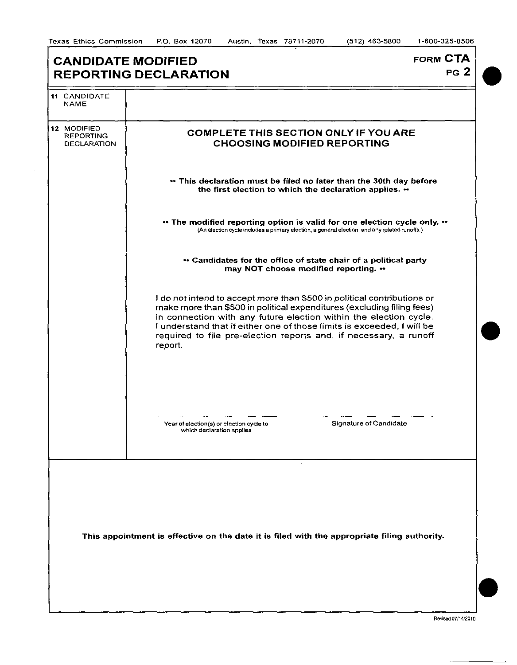$\bar{\beta}$ 

ă,

| <b>CANDIDATE MODIFIED</b><br><b>REPORTING DECLARATION</b>                                                                                                                                                                                                                                                                                                                        | <b>FORM CTA</b><br>PG <sub>2</sub> |  |
|----------------------------------------------------------------------------------------------------------------------------------------------------------------------------------------------------------------------------------------------------------------------------------------------------------------------------------------------------------------------------------|------------------------------------|--|
|                                                                                                                                                                                                                                                                                                                                                                                  |                                    |  |
| <b>COMPLETE THIS SECTION ONLY IF YOU ARE</b><br><b>CHOOSING MODIFIED REPORTING</b>                                                                                                                                                                                                                                                                                               |                                    |  |
| This declaration must be filed no later than the 30th day before<br>the first election to which the declaration applies. "                                                                                                                                                                                                                                                       |                                    |  |
| ** The modified reporting option is valid for one election cycle only. **<br>(An election cycle includes a primary election, a general election, and any related runoffs.)                                                                                                                                                                                                       |                                    |  |
| • Candidates for the office of state chair of a political party<br>may NOT choose modified reporting. **                                                                                                                                                                                                                                                                         |                                    |  |
| I do not intend to accept more than \$500 in political contributions or<br>make more than \$500 in political expenditures (excluding filing fees)<br>in connection with any future election within the election cycle.<br>I understand that if either one of those limits is exceeded, I will be<br>required to file pre-election reports and, if necessary, a runoff<br>report. |                                    |  |
| Signature of Candidate<br>Year of election(s) or election cycle to<br>which declaration applies                                                                                                                                                                                                                                                                                  |                                    |  |
|                                                                                                                                                                                                                                                                                                                                                                                  |                                    |  |
|                                                                                                                                                                                                                                                                                                                                                                                  |                                    |  |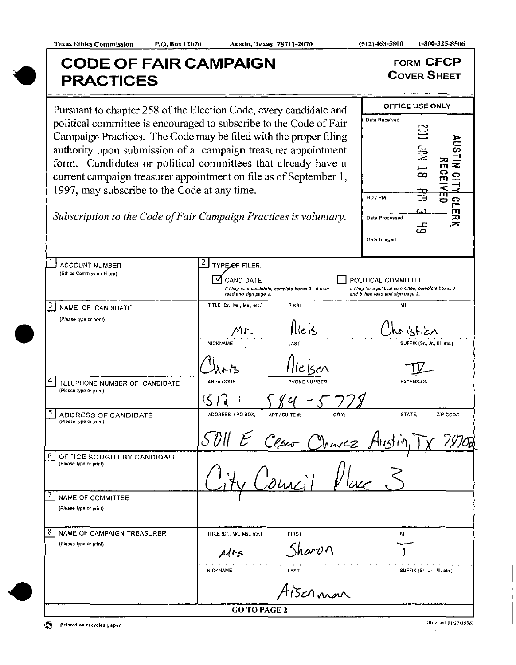$\frac{1}{2}$  ACCOUNT NUMBER: (Ethics Commission Filers)

 $\overline{3}$  NAME OF CANDIDATE (Please type or prinl)

(Please type Or print)

(Please type or print)

(Please type or print)

(Please type or prinl)

NAME OF COMMITTEE (Please type or prinl)

 $8$  NAME OF CAMPAIGN TREASURER

5

7

4 1 TELEPHONE NUMBER OF CANDIDATE

1 ADDRESS OF CANDIDATE

\_6j OFFICE SOUGHT BY CANDIDATE

## CODE OF FAIR CAMPAIGN **PRACTICES**

FORM CFCP **COVER SHEET** 

OFFICE USE ONLY

Pursuant to chapter 258 of the Election Code, every candidate and political committee is encouraged to subscribe Campaign Practices. The Code may be filed w authority upon submission of a campaign tre form. Candidates or political committees current campaign treasurer appointment on file 1997, may subscribe to the Code at any time.

| d to subscribe to the Code of Fair<br>hay be filed with the proper filing<br>campaign treasurer appointment<br>committees that already have a<br>ntment on file as of September 1,<br>at any time. | Date Received<br>NIJSN<br>$\ddot{\ddot{\Xi}}$<br>$\overline{\Omega}$                                                                                             |  |  |
|----------------------------------------------------------------------------------------------------------------------------------------------------------------------------------------------------|------------------------------------------------------------------------------------------------------------------------------------------------------------------|--|--|
| Campaign Practices is voluntary.                                                                                                                                                                   | HD / PM<br>ິ<br>ເມ<br>Date Processed<br>ഗ                                                                                                                        |  |  |
|                                                                                                                                                                                                    | Date Imaged                                                                                                                                                      |  |  |
| CANDIDATE<br>If filing as a candidate, complete boxes 3 - 6 then<br>read and sign page 2.<br>TITLE (Dr., Mr., Ms., etc.)<br><b>FIRST</b><br>الاداد<br><b>NICKNAME</b><br>LAST                      | POLITICAL COMMITTEE<br>If filing for a political committee, complete boxes 7<br>and 8 then read and sign page 2.<br>MI<br>istian<br>SUFFIX (Sr., Jr., III, etc.) |  |  |
|                                                                                                                                                                                                    |                                                                                                                                                                  |  |  |
| AREA CODE<br><b>EXTENSION</b><br>PHONE NUMBER<br>ADDRESS / PO BOX:<br>STATE:<br>ZIP CODE<br>APT / SUITE #:<br>CITY:                                                                                |                                                                                                                                                                  |  |  |
| Cesi<br>havez HILS                                                                                                                                                                                 |                                                                                                                                                                  |  |  |
|                                                                                                                                                                                                    |                                                                                                                                                                  |  |  |

Subscription to the Code of Fair Campaign Pr

TITLE (Dr., Mr., Ms., atc.) FIRST

NICKNAME LAST

GO TO PAGE 2

 $Mrs$  Sharvn

Aiscrnan

œ Printed on recycled paper (Revised 01/23/1998)

Ml  $\begin{array}{c}\nM1 \\
M1\n\end{array}$ 

SUFFIX (Sr., Jr., Ill, eic.)